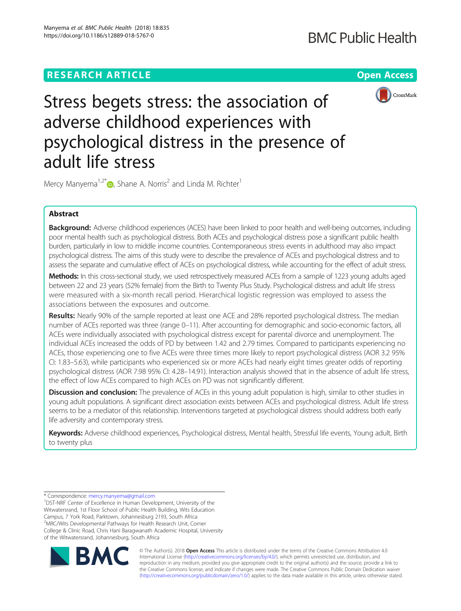

Stress begets stress: the association of adverse childhood experiences with psychological distress in the presence of adult life stress

Mercy Manyema<sup>1[,](http://orcid.org/0000-0001-9123-1952)2\*</sup>  $\bullet$ , Shane A. Norris<sup>2</sup> and Linda M. Richter<sup>1</sup>

# Abstract

Background: Adverse childhood experiences (ACES) have been linked to poor health and well-being outcomes, including poor mental health such as psychological distress. Both ACEs and psychological distress pose a significant public health burden, particularly in low to middle income countries. Contemporaneous stress events in adulthood may also impact psychological distress. The aims of this study were to describe the prevalence of ACEs and psychological distress and to assess the separate and cumulative effect of ACEs on psychological distress, while accounting for the effect of adult stress.

Methods: In this cross-sectional study, we used retrospectively measured ACEs from a sample of 1223 young adults aged between 22 and 23 years (52% female) from the Birth to Twenty Plus Study. Psychological distress and adult life stress were measured with a six-month recall period. Hierarchical logistic regression was employed to assess the associations between the exposures and outcome.

Results: Nearly 90% of the sample reported at least one ACE and 28% reported psychological distress. The median number of ACEs reported was three (range 0–11). After accounting for demographic and socio-economic factors, all ACEs were individually associated with psychological distress except for parental divorce and unemployment. The individual ACEs increased the odds of PD by between 1.42 and 2.79 times. Compared to participants experiencing no ACEs, those experiencing one to five ACEs were three times more likely to report psychological distress (AOR 3.2 95% CI: 1.83–5.63), while participants who experienced six or more ACEs had nearly eight times greater odds of reporting psychological distress (AOR 7.98 95% CI: 4.28–14.91). Interaction analysis showed that in the absence of adult life stress, the effect of low ACEs compared to high ACEs on PD was not significantly different.

**Discussion and conclusion:** The prevalence of ACEs in this young adult population is high, similar to other studies in young adult populations. A significant direct association exists between ACEs and psychological distress. Adult life stress seems to be a mediator of this relationship. Interventions targeted at psychological distress should address both early life adversity and contemporary stress.

Keywords: Adverse childhood experiences, Psychological distress, Mental health, Stressful life events, Young adult, Birth to twenty plus

\* Correspondence: [mercy.manyema@gmail.com](mailto:mercy.manyema@gmail.com) <sup>1</sup>

<sup>1</sup>DST-NRF Center of Excellence in Human Development, University of the Witwatersrand, 1st Floor School of Public Health Building, Wits Education Campus, 7 York Road, Parktown, Johannesburg 2193, South Africa 2 MRC/Wits Developmental Pathways for Health Research Unit, Corner College & Clinic Road, Chris Hani Baragwanath Academic Hospital, University of the Witwatersrand, Johannesburg, South Africa



© The Author(s). 2018 Open Access This article is distributed under the terms of the Creative Commons Attribution 4.0 International License [\(http://creativecommons.org/licenses/by/4.0/](http://creativecommons.org/licenses/by/4.0/)), which permits unrestricted use, distribution, and reproduction in any medium, provided you give appropriate credit to the original author(s) and the source, provide a link to the Creative Commons license, and indicate if changes were made. The Creative Commons Public Domain Dedication waiver [\(http://creativecommons.org/publicdomain/zero/1.0/](http://creativecommons.org/publicdomain/zero/1.0/)) applies to the data made available in this article, unless otherwise stated.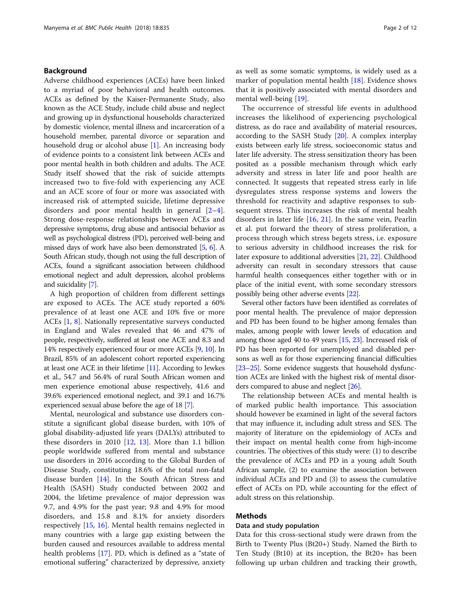# Background

Adverse childhood experiences (ACEs) have been linked to a myriad of poor behavioral and health outcomes. ACEs as defined by the Kaiser-Permanente Study, also known as the ACE Study, include child abuse and neglect and growing up in dysfunctional households characterized by domestic violence, mental illness and incarceration of a household member, parental divorce or separation and household drug or alcohol abuse [[1](#page-10-0)]. An increasing body of evidence points to a consistent link between ACEs and poor mental health in both children and adults. The ACE Study itself showed that the risk of suicide attempts increased two to five-fold with experiencing any ACE and an ACE score of four or more was associated with increased risk of attempted suicide, lifetime depressive disorders and poor mental health in general [[2](#page-10-0)–[4](#page-10-0)]. Strong dose-response relationships between ACEs and depressive symptoms, drug abuse and antisocial behavior as well as psychological distress (PD), perceived well-being and missed days of work have also been demonstrated [[5](#page-11-0), [6](#page-11-0)]. A South African study, though not using the full description of ACEs, found a significant association between childhood emotional neglect and adult depression, alcohol problems and suicidality [\[7\]](#page-11-0).

A high proportion of children from different settings are exposed to ACEs. The ACE study reported a 60% prevalence of at least one ACE and 10% five or more ACEs [[1,](#page-10-0) [8\]](#page-11-0). Nationally representative surveys conducted in England and Wales revealed that 46 and 47% of people, respectively, suffered at least one ACE and 8.3 and 14% respectively experienced four or more ACEs [\[9](#page-11-0), [10](#page-11-0)]. In Brazil, 85% of an adolescent cohort reported experiencing at least one ACE in their lifetime [\[11\]](#page-11-0). According to Jewkes et al., 54.7 and 56.4% of rural South African women and men experience emotional abuse respectively, 41.6 and 39.6% experienced emotional neglect, and 39.1 and 16.7% experienced sexual abuse before the age of 18 [\[7](#page-11-0)].

Mental, neurological and substance use disorders constitute a significant global disease burden, with 10% of global disability-adjusted life years (DALYs) attributed to these disorders in 2010 [\[12](#page-11-0), [13](#page-11-0)]. More than 1.1 billion people worldwide suffered from mental and substance use disorders in 2016 according to the Global Burden of Disease Study, constituting 18.6% of the total non-fatal disease burden [\[14](#page-11-0)]. In the South African Stress and Health (SASH) Study conducted between 2002 and 2004, the lifetime prevalence of major depression was 9.7, and 4.9% for the past year; 9.8 and 4.9% for mood disorders, and 15.8 and 8.1% for anxiety disorders respectively [[15](#page-11-0), [16\]](#page-11-0). Mental health remains neglected in many countries with a large gap existing between the burden caused and resources available to address mental health problems [[17\]](#page-11-0). PD, which is defined as a "state of emotional suffering" characterized by depressive, anxiety

as well as some somatic symptoms, is widely used as a marker of population mental health [[18\]](#page-11-0). Evidence shows that it is positively associated with mental disorders and mental well-being [[19\]](#page-11-0).

The occurrence of stressful life events in adulthood increases the likelihood of experiencing psychological distress, as do race and availability of material resources, according to the SASH Study [\[20](#page-11-0)]. A complex interplay exists between early life stress, socioeconomic status and later life adversity. The stress sensitization theory has been posited as a possible mechanism through which early adversity and stress in later life and poor health are connected. It suggests that repeated stress early in life dysregulates stress response systems and lowers the threshold for reactivity and adaptive responses to subsequent stress. This increases the risk of mental health disorders in later life [[16](#page-11-0), [21\]](#page-11-0). In the same vein, Pearlin et al. put forward the theory of stress proliferation, a process through which stress begets stress, i.e. exposure to serious adversity in childhood increases the risk for later exposure to additional adversities [\[21](#page-11-0), [22](#page-11-0)]. Childhood adversity can result in secondary stressors that cause harmful health consequences either together with or in place of the initial event, with some secondary stressors possibly being other adverse events [[22\]](#page-11-0).

Several other factors have been identified as correlates of poor mental health. The prevalence of major depression and PD has been found to be higher among females than males, among people with lower levels of education and among those aged 40 to 49 years [\[15,](#page-11-0) [23\]](#page-11-0). Increased risk of PD has been reported for unemployed and disabled persons as well as for those experiencing financial difficulties [[23](#page-11-0)–[25\]](#page-11-0). Some evidence suggests that household dysfunction ACEs are linked with the highest risk of mental disorders compared to abuse and neglect [[26](#page-11-0)].

The relationship between ACEs and mental health is of marked public health importance. This association should however be examined in light of the several factors that may influence it, including adult stress and SES. The majority of literature on the epidemiology of ACEs and their impact on mental health come from high-income countries. The objectives of this study were: (1) to describe the prevalence of ACEs and PD in a young adult South African sample, (2) to examine the association between individual ACEs and PD and (3) to assess the cumulative effect of ACEs on PD, while accounting for the effect of adult stress on this relationship.

## Methods

# Data and study population

Data for this cross-sectional study were drawn from the Birth to Twenty Plus (Bt20+) Study. Named the Birth to Ten Study (Bt10) at its inception, the Bt20+ has been following up urban children and tracking their growth,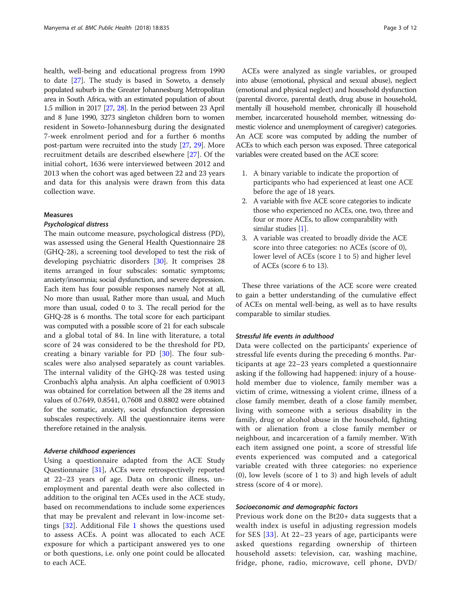health, well-being and educational progress from 1990 to date [[27\]](#page-11-0). The study is based in Soweto, a densely populated suburb in the Greater Johannesburg Metropolitan area in South Africa, with an estimated population of about 1.5 million in 2017 [[27](#page-11-0), [28](#page-11-0)]. In the period between 23 April and 8 June 1990, 3273 singleton children born to women resident in Soweto-Johannesburg during the designated 7-week enrolment period and for a further 6 months post-partum were recruited into the study [\[27,](#page-11-0) [29\]](#page-11-0). More recruitment details are described elsewhere [[27\]](#page-11-0). Of the initial cohort, 1636 were interviewed between 2012 and 2013 when the cohort was aged between 22 and 23 years and data for this analysis were drawn from this data collection wave.

# Measures

#### Psychological distress

The main outcome measure, psychological distress (PD), was assessed using the General Health Questionnaire 28 (GHQ-28), a screening tool developed to test the risk of developing psychiatric disorders [[30\]](#page-11-0). It comprises 28 items arranged in four subscales: somatic symptoms; anxiety/insomnia; social dysfunction, and severe depression. Each item has four possible responses namely Not at all, No more than usual, Rather more than usual, and Much more than usual, coded 0 to 3. The recall period for the GHQ-28 is 6 months. The total score for each participant was computed with a possible score of 21 for each subscale and a global total of 84. In line with literature, a total score of 24 was considered to be the threshold for PD, creating a binary variable for PD [\[30](#page-11-0)]. The four subscales were also analysed separately as count variables. The internal validity of the GHQ-28 was tested using Cronbach's alpha analysis. An alpha coefficient of 0.9013 was obtained for correlation between all the 28 items and values of 0.7649, 0.8541, 0.7608 and 0.8802 were obtained for the somatic, anxiety, social dysfunction depression subscales respectively. All the questionnaire items were therefore retained in the analysis.

## Adverse childhood experiences

Using a questionnaire adapted from the ACE Study Questionnaire [[31\]](#page-11-0), ACEs were retrospectively reported at 22–23 years of age. Data on chronic illness, unemployment and parental death were also collected in addition to the original ten ACEs used in the ACE study, based on recommendations to include some experiences that may be prevalent and relevant in low-income settings [\[32](#page-11-0)]. Additional File [1](#page-10-0) shows the questions used to assess ACEs. A point was allocated to each ACE exposure for which a participant answered yes to one or both questions, i.e. only one point could be allocated to each ACE.

ACEs were analyzed as single variables, or grouped into abuse (emotional, physical and sexual abuse), neglect (emotional and physical neglect) and household dysfunction (parental divorce, parental death, drug abuse in household, mentally ill household member, chronically ill household member, incarcerated household member, witnessing domestic violence and unemployment of caregiver) categories. An ACE score was computed by adding the number of ACEs to which each person was exposed. Three categorical variables were created based on the ACE score:

- 1. A binary variable to indicate the proportion of participants who had experienced at least one ACE before the age of 18 years.
- 2. A variable with five ACE score categories to indicate those who experienced no ACEs, one, two, three and four or more ACEs, to allow comparability with similar studies [\[1](#page-10-0)].
- 3. A variable was created to broadly divide the ACE score into three categories: no ACEs (score of 0), lower level of ACEs (score 1 to 5) and higher level of ACEs (score 6 to 13).

These three variations of the ACE score were created to gain a better understanding of the cumulative effect of ACEs on mental well-being, as well as to have results comparable to similar studies.

# Stressful life events in adulthood

Data were collected on the participants' experience of stressful life events during the preceding 6 months. Participants at age 22–23 years completed a questionnaire asking if the following had happened: injury of a household member due to violence, family member was a victim of crime, witnessing a violent crime, illness of a close family member, death of a close family member, living with someone with a serious disability in the family, drug or alcohol abuse in the household, fighting with or alienation from a close family member or neighbour, and incarceration of a family member. With each item assigned one point, a score of stressful life events experienced was computed and a categorical variable created with three categories: no experience (0), low levels (score of 1 to 3) and high levels of adult stress (score of 4 or more).

#### Socioeconomic and demographic factors

Previous work done on the Bt20+ data suggests that a wealth index is useful in adjusting regression models for SES [[33\]](#page-11-0). At 22–23 years of age, participants were asked questions regarding ownership of thirteen household assets: television, car, washing machine, fridge, phone, radio, microwave, cell phone, DVD/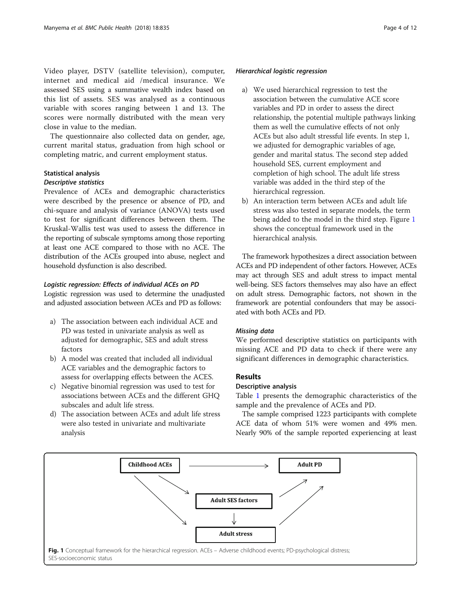Video player, DSTV (satellite television), computer, internet and medical aid /medical insurance. We assessed SES using a summative wealth index based on this list of assets. SES was analysed as a continuous variable with scores ranging between 1 and 13. The scores were normally distributed with the mean very close in value to the median.

The questionnaire also collected data on gender, age, current marital status, graduation from high school or completing matric, and current employment status.

# Statistical analysis

## Descriptive statistics

Prevalence of ACEs and demographic characteristics were described by the presence or absence of PD, and chi-square and analysis of variance (ANOVA) tests used to test for significant differences between them. The Kruskal-Wallis test was used to assess the difference in the reporting of subscale symptoms among those reporting at least one ACE compared to those with no ACE. The distribution of the ACEs grouped into abuse, neglect and household dysfunction is also described.

## Logistic regression: Effects of individual ACEs on PD

Logistic regression was used to determine the unadjusted and adjusted association between ACEs and PD as follows:

- a) The association between each individual ACE and PD was tested in univariate analysis as well as adjusted for demographic, SES and adult stress factors
- b) A model was created that included all individual ACE variables and the demographic factors to assess for overlapping effects between the ACES.
- c) Negative binomial regression was used to test for associations between ACEs and the different GHQ subscales and adult life stress.
- d) The association between ACEs and adult life stress were also tested in univariate and multivariate analysis

## Hierarchical logistic regression

- a) We used hierarchical regression to test the association between the cumulative ACE score variables and PD in order to assess the direct relationship, the potential multiple pathways linking them as well the cumulative effects of not only ACEs but also adult stressful life events. In step 1, we adjusted for demographic variables of age, gender and marital status. The second step added household SES, current employment and completion of high school. The adult life stress variable was added in the third step of the hierarchical regression.
- b) An interaction term between ACEs and adult life stress was also tested in separate models, the term being added to the model in the third step. Figure 1 shows the conceptual framework used in the hierarchical analysis.

The framework hypothesizes a direct association between ACEs and PD independent of other factors. However, ACEs may act through SES and adult stress to impact mental well-being. SES factors themselves may also have an effect on adult stress. Demographic factors, not shown in the framework are potential confounders that may be associated with both ACEs and PD.

# Missing data

We performed descriptive statistics on participants with missing ACE and PD data to check if there were any significant differences in demographic characteristics.

# Results

## Descriptive analysis

Table [1](#page-4-0) presents the demographic characteristics of the sample and the prevalence of ACEs and PD.

The sample comprised 1223 participants with complete ACE data of whom 51% were women and 49% men. Nearly 90% of the sample reported experiencing at least

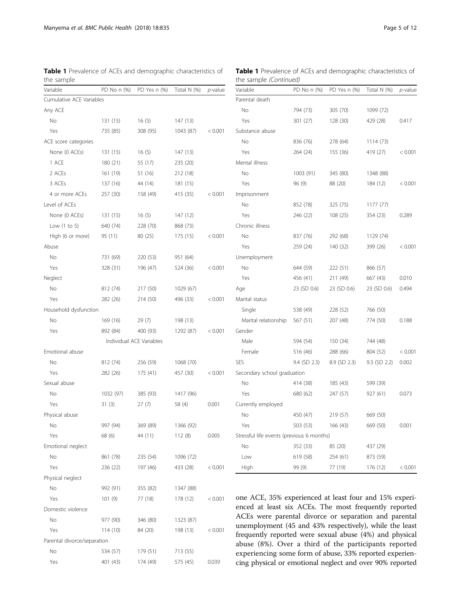<span id="page-4-0"></span>Table 1 Prevalence of ACEs and demographic characteristics of the sample

| Variable                    | PD No n (%) | PD Yes n (%)             | Total N (%) | <i>p</i> -value |
|-----------------------------|-------------|--------------------------|-------------|-----------------|
| Cumulative ACE Variables    |             |                          |             |                 |
| Any ACE                     |             |                          |             |                 |
| No                          | 131 (15)    | 16(5)                    | 147 (13)    |                 |
| Yes                         | 735 (85)    | 308 (95)                 | 1043 (87)   | < 0.001         |
| ACE score categories        |             |                          |             |                 |
| None (0 ACEs)               | 131 (15)    | 16(5)                    | 147 (13)    |                 |
| 1 ACE                       | 180 (21)    | 55 (17)                  | 235 (20)    |                 |
| 2 ACEs                      | 161 (19)    | 51 (16)                  | 212 (18)    |                 |
| 3 ACEs                      | 137 (16)    | 44 (14)                  | 181 (15)    |                 |
| 4 or more ACEs              | 257 (30)    | 158 (49)                 | 415 (35)    | < 0.001         |
| Level of ACEs               |             |                          |             |                 |
| None (0 ACEs)               | 131 (15)    | 16(5)                    | 147 (12)    |                 |
| Low $(1 to 5)$              | 640 (74)    | 228 (70)                 | 868 (73)    |                 |
| High (6 or more)            | 95 (11)     | 80 (25)                  | 175 (15)    | < 0.001         |
| Abuse                       |             |                          |             |                 |
| No                          | 731 (69)    | 220 (53)                 | 951 (64)    |                 |
| Yes                         | 328 (31)    | 196 (47)                 | 524 (36)    | < 0.001         |
| Neglect                     |             |                          |             |                 |
| No                          | 812 (74)    | 217 (50)                 | 1029 (67)   |                 |
| Yes                         | 282 (26)    | 214 (50)                 | 496 (33)    | < 0.001         |
| Household dysfunction       |             |                          |             |                 |
| No                          | 169 (16)    | 29(7)                    | 198 (13)    |                 |
| Yes                         | 892 (84)    | 400 (93)                 | 1292 (87)   | < 0.001         |
|                             |             | Individual ACE Variables |             |                 |
| Emotional abuse             |             |                          |             |                 |
| No                          | 812 (74)    | 256 (59)                 | 1068 (70)   |                 |
| Yes                         | 282 (26)    | 175 (41)                 | 457 (30)    | < 0.001         |
| Sexual abuse                |             |                          |             |                 |
| No                          | 1032 (97)   | 385 (93)                 | 1417 (96)   |                 |
| Yes                         | 31(3)       | 27(7)                    | 58 (4)      | 0.001           |
| Physical abuse              |             |                          |             |                 |
| No                          | 997 (94)    | 369 (89)                 | 1366 (92)   |                 |
| Yes                         | 68 (6)      | 44 (11)                  | 112(8)      | 0.005           |
| Emotional neglect           |             |                          |             |                 |
| No                          | 861 (78)    | 235 (54)                 | 1096 (72)   |                 |
| Yes                         | 236 (22)    | 197 (46)                 | 433 (28)    | < 0.001         |
| Physical neglect            |             |                          |             |                 |
| No                          | 992 (91)    | 355 (82)                 | 1347 (88)   |                 |
| Yes                         | 101(9)      | 77 (18)                  | 178 (12)    | < 0.001         |
| Domestic violence           |             |                          |             |                 |
| No                          | 977 (90)    | 346 (80)                 | 1323 (87)   |                 |
| Yes                         | 114 (10)    | 84 (20)                  | 198 (13)    | < 0.001         |
| Parental divorce/separation |             |                          |             |                 |
| No                          | 534 (57)    | 179 (51)                 | 713 (55)    |                 |
| Yes                         | 401 (43)    | 174 (49)                 | 575 (45)    | 0.039           |
|                             |             |                          |             |                 |

Table 1 Prevalence of ACEs and demographic characteristics of the sample (Continued)

| Variable                                  | PD No n (%)  | PD Yes n (%)   | Total N (%)    | $p$ -value |
|-------------------------------------------|--------------|----------------|----------------|------------|
| Parental death                            |              |                |                |            |
| No                                        | 794 (73)     | 305 (70)       | 1099 (72)      |            |
| Yes                                       | 301(27)      | 128 (30)       | 429 (28)       | 0.417      |
| Substance abuse                           |              |                |                |            |
| No                                        | 836 (76)     | 278 (64)       | 1114 (73)      |            |
| Yes                                       | 264 (24)     | 155 (36)       | 419 (27)       | < 0.001    |
| Mental illness                            |              |                |                |            |
| No                                        | 1003 (91)    | 345 (80)       | 1348 (88)      |            |
| Yes                                       | 96 (9)       | 88 (20)        | 184 (12)       | < 0.001    |
| Imprisonment                              |              |                |                |            |
| No                                        | 852 (78)     | 325 (75)       | 1177 (77)      |            |
| Yes                                       | 246 (22)     | 108 (25)       | 354 (23)       | 0.289      |
| Chronic illness                           |              |                |                |            |
| No                                        | 837 (76)     | 292 (68)       | 1129 (74)      |            |
| Yes                                       | 259 (24)     | 140 (32)       | 399 (26)       | < 0.001    |
| Unemployment                              |              |                |                |            |
| No                                        | 644 (59)     | 222 (51)       | 866 (57)       |            |
| Yes                                       | 456 (41)     | 211 (49)       | 667 (43)       | 0.010      |
| Age                                       | 23 (SD 0.6)  | 23 (SD 0.6)    | 23 (SD 0.6)    | 0.494      |
| Marital status                            |              |                |                |            |
| Single                                    | 538 (49)     | 228 (52)       | 766 (50)       |            |
| Marital relationship                      | 567 (51)     | 207 (48)       | 774 (50)       | 0.188      |
| Gender                                    |              |                |                |            |
| Male                                      | 594 (54)     | 150 (34)       | 744 (48)       |            |
| Female                                    | 516 (46)     | 288 (66)       | 804 (52)       | < 0.001    |
| SES                                       | 9.4 (SD 2.3) | $8.9$ (SD 2.3) | $9.3$ (SD 2.2) | 0.002      |
| Secondary school graduation               |              |                |                |            |
| No                                        | 414 (38)     | 185 (43)       | 599 (39)       |            |
| Yes                                       | 680 (62)     | 247 (57)       | 927 (61)       | 0.073      |
| Currently employed                        |              |                |                |            |
| No                                        | 450 (47)     | 219 (57)       | 669 (50)       |            |
| Yes                                       | 503 (53)     | 166 (43)       | 669 (50)       | 0.001      |
| Stressful life events (previous 6 months) |              |                |                |            |
| No                                        | 352 (33)     | 85 (20)        | 437 (29)       |            |
| Low                                       | 619 (58)     | 254 (61)       | 873 (59)       |            |
| High                                      | 99 (9)       | 77 (19)        | 176 (12)       | < 0.001    |

one ACE, 35% experienced at least four and 15% experienced at least six ACEs. The most frequently reported ACEs were parental divorce or separation and parental unemployment (45 and 43% respectively), while the least frequently reported were sexual abuse (4%) and physical abuse (8%). Over a third of the participants reported experiencing some form of abuse, 33% reported experiencing physical or emotional neglect and over 90% reported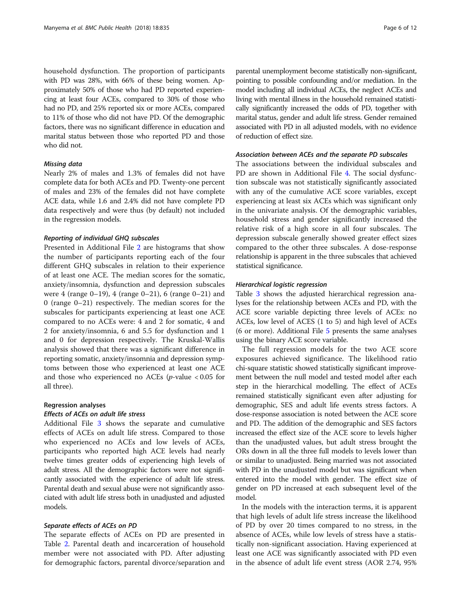household dysfunction. The proportion of participants with PD was 28%, with 66% of these being women. Approximately 50% of those who had PD reported experiencing at least four ACEs, compared to 30% of those who had no PD, and 25% reported six or more ACEs, compared to 11% of those who did not have PD. Of the demographic factors, there was no significant difference in education and marital status between those who reported PD and those who did not.

# Missing data

Nearly 2% of males and 1.3% of females did not have complete data for both ACEs and PD. Twenty-one percent of males and 23% of the females did not have complete ACE data, while 1.6 and 2.4% did not have complete PD data respectively and were thus (by default) not included in the regression models.

#### Reporting of individual GHQ subscales

Presented in Additional File [2](#page-10-0) are histograms that show the number of participants reporting each of the four different GHQ subscales in relation to their experience of at least one ACE. The median scores for the somatic, anxiety/insomnia, dysfunction and depression subscales were 4 (range 0–19), 4 (range 0–21), 6 (range 0–21) and 0 (range 0–21) respectively. The median scores for the subscales for participants experiencing at least one ACE compared to no ACEs were: 4 and 2 for somatic, 4 and 2 for anxiety/insomnia, 6 and 5.5 for dysfunction and 1 and 0 for depression respectively. The Kruskal-Wallis analysis showed that there was a significant difference in reporting somatic, anxiety/insomnia and depression symptoms between those who experienced at least one ACE and those who experienced no ACEs ( $p$ -value < 0.05 for all three).

#### Regression analyses

# Effects of ACEs on adult life stress

Additional File [3](#page-10-0) shows the separate and cumulative effects of ACEs on adult life stress. Compared to those who experienced no ACEs and low levels of ACEs, participants who reported high ACE levels had nearly twelve times greater odds of experiencing high levels of adult stress. All the demographic factors were not significantly associated with the experience of adult life stress. Parental death and sexual abuse were not significantly associated with adult life stress both in unadjusted and adjusted models.

## Separate effects of ACEs on PD

The separate effects of ACEs on PD are presented in Table [2.](#page-6-0) Parental death and incarceration of household member were not associated with PD. After adjusting for demographic factors, parental divorce/separation and

parental unemployment become statistically non-significant, pointing to possible confounding and/or mediation. In the model including all individual ACEs, the neglect ACEs and living with mental illness in the household remained statistically significantly increased the odds of PD, together with marital status, gender and adult life stress. Gender remained associated with PD in all adjusted models, with no evidence of reduction of effect size.

## Association between ACEs and the separate PD subscales

The associations between the individual subscales and PD are shown in Additional File [4.](#page-10-0) The social dysfunction subscale was not statistically significantly associated with any of the cumulative ACE score variables, except experiencing at least six ACEs which was significant only in the univariate analysis. Of the demographic variables, household stress and gender significantly increased the relative risk of a high score in all four subscales. The depression subscale generally showed greater effect sizes compared to the other three subscales. A dose-response relationship is apparent in the three subscales that achieved statistical significance.

#### Hierarchical logistic regression

Table [3](#page-8-0) shows the adjusted hierarchical regression analyses for the relationship between ACEs and PD, with the ACE score variable depicting three levels of ACEs: no ACEs, low level of ACES (1 to 5) and high level of ACEs (6 or more). Additional File [5](#page-10-0) presents the same analyses using the binary ACE score variable.

The full regression models for the two ACE score exposures achieved significance. The likelihood ratio chi-square statistic showed statistically significant improvement between the null model and tested model after each step in the hierarchical modelling. The effect of ACEs remained statistically significant even after adjusting for demographic, SES and adult life events stress factors. A dose-response association is noted between the ACE score and PD. The addition of the demographic and SES factors increased the effect size of the ACE score to levels higher than the unadjusted values, but adult stress brought the ORs down in all the three full models to levels lower than or similar to unadjusted. Being married was not associated with PD in the unadjusted model but was significant when entered into the model with gender. The effect size of gender on PD increased at each subsequent level of the model.

In the models with the interaction terms, it is apparent that high levels of adult life stress increase the likelihood of PD by over 20 times compared to no stress, in the absence of ACEs, while low levels of stress have a statistically non-significant association. Having experienced at least one ACE was significantly associated with PD even in the absence of adult life event stress (AOR 2.74, 95%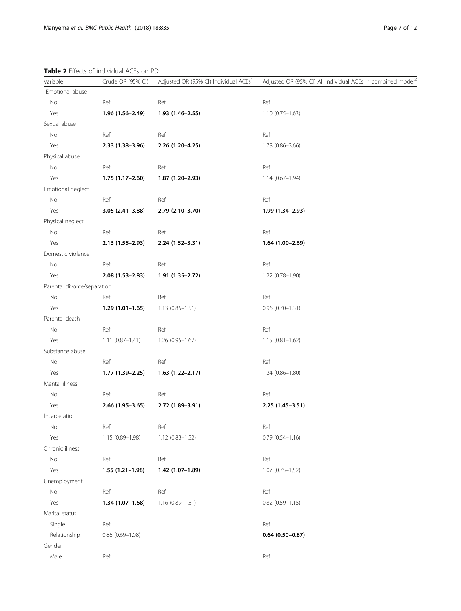# <span id="page-6-0"></span>Table 2 Effects of individual ACEs on PD

| Variable                    | Crude OR (95% CI)   | Adjusted OR (95% CI) Individual ACEs <sup>1</sup> | Adjusted OR (95% CI) All individual ACEs in combined model <sup>2</sup> |
|-----------------------------|---------------------|---------------------------------------------------|-------------------------------------------------------------------------|
| Emotional abuse             |                     |                                                   |                                                                         |
| No                          | Ref                 | Ref                                               | Ref                                                                     |
| Yes                         | $1.96(1.56 - 2.49)$ | 1.93 (1.46-2.55)                                  | $1.10(0.75 - 1.63)$                                                     |
| Sexual abuse                |                     |                                                   |                                                                         |
| No                          | Ref                 | Ref                                               | Ref                                                                     |
| Yes                         | $2.33(1.38-3.96)$   | 2.26 (1.20-4.25)                                  | $1.78(0.86 - 3.66)$                                                     |
| Physical abuse              |                     |                                                   |                                                                         |
| No                          | Ref                 | Ref                                               | Ref                                                                     |
| Yes                         | $1.75(1.17-2.60)$   | 1.87 (1.20-2.93)                                  | $1.14(0.67 - 1.94)$                                                     |
| Emotional neglect           |                     |                                                   |                                                                         |
| No                          | Ref                 | Ref                                               | Ref                                                                     |
| Yes                         | $3.05(2.41 - 3.88)$ | 2.79 (2.10-3.70)                                  | 1.99 (1.34-2.93)                                                        |
| Physical neglect            |                     |                                                   |                                                                         |
| No                          | Ref                 | Ref                                               | Ref                                                                     |
| Yes                         | $2.13(1.55-2.93)$   | 2.24 (1.52-3.31)                                  | $1.64(1.00-2.69)$                                                       |
| Domestic violence           |                     |                                                   |                                                                         |
| No                          | Ref                 | Ref                                               | Ref                                                                     |
| Yes                         | $2.08(1.53 - 2.83)$ | $1.91(1.35 - 2.72)$                               | 1.22 (0.78-1.90)                                                        |
| Parental divorce/separation |                     |                                                   |                                                                         |
| No                          | Ref                 | Ref                                               | Ref                                                                     |
| Yes                         | $1.29(1.01-1.65)$   | $1.13(0.85 - 1.51)$                               | $0.96(0.70 - 1.31)$                                                     |
| Parental death              |                     |                                                   |                                                                         |
| No                          | Ref                 | Ref                                               | Ref                                                                     |
| Yes                         | $1.11(0.87 - 1.41)$ | $1.26(0.95 - 1.67)$                               | $1.15(0.81 - 1.62)$                                                     |
| Substance abuse             |                     |                                                   |                                                                         |
| No                          | Ref                 | Ref                                               | Ref                                                                     |
| Yes                         | $1.77(1.39-2.25)$   | $1.63(1.22 - 2.17)$                               | $1.24(0.86 - 1.80)$                                                     |
| Mental illness              |                     |                                                   |                                                                         |
| No                          | Ref                 | Ref                                               | Ref                                                                     |
| Yes                         | $2.66(1.95 - 3.65)$ | 2.72 (1.89-3.91)                                  | $2.25(1.45-3.51)$                                                       |
| Incarceration               |                     |                                                   |                                                                         |
| No                          | Ref                 | Ref                                               | Ref                                                                     |
| Yes                         | 1.15 (0.89-1.98)    | 1.12 (0.83-1.52)                                  | $0.79$ $(0.54 - 1.16)$                                                  |
| Chronic illness             |                     |                                                   |                                                                         |
| No                          | Ref                 | Ref                                               | Ref                                                                     |
| Yes                         | $1.55(1.21-1.98)$   | 1.42 (1.07-1.89)                                  | $1.07(0.75 - 1.52)$                                                     |
| Unemployment                |                     |                                                   |                                                                         |
| No                          | Ref                 | Ref                                               | Ref                                                                     |
| Yes                         | $1.34(1.07-1.68)$   | $1.16(0.89 - 1.51)$                               | $0.82$ $(0.59 - 1.15)$                                                  |
| Marital status              |                     |                                                   |                                                                         |
| Single                      | Ref                 |                                                   | Ref                                                                     |
| Relationship                | $0.86$ (0.69-1.08)  |                                                   | $0.64(0.50 - 0.87)$                                                     |
| Gender                      |                     |                                                   |                                                                         |
| Male                        | Ref                 |                                                   | Ref                                                                     |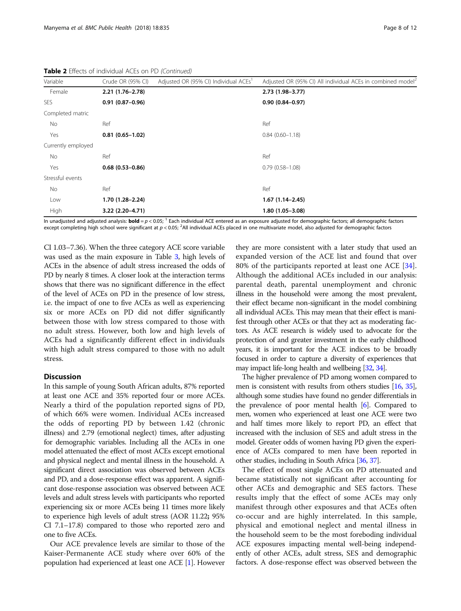Table 2 Effects of individual ACEs on PD (Continued)

| Variable           | Crude OR (95% CI)   | Adjusted OR (95% CI) Individual ACEs <sup>1</sup> | Adjusted OR (95% CI) All individual ACEs in combined model <sup>2</sup> |  |
|--------------------|---------------------|---------------------------------------------------|-------------------------------------------------------------------------|--|
| Female             | $2.21(1.76-2.78)$   |                                                   | $2.73(1.98 - 3.77)$                                                     |  |
| <b>SES</b>         | $0.91(0.87 - 0.96)$ |                                                   | $0.90(0.84 - 0.97)$                                                     |  |
| Completed matric   |                     |                                                   |                                                                         |  |
| No                 | Ref                 |                                                   | Ref                                                                     |  |
| Yes                | $0.81(0.65 - 1.02)$ |                                                   | $0.84(0.60 - 1.18)$                                                     |  |
| Currently employed |                     |                                                   |                                                                         |  |
| No.                | Ref                 |                                                   | Ref                                                                     |  |
| Yes                | $0.68(0.53 - 0.86)$ |                                                   | $0.79(0.58 - 1.08)$                                                     |  |
| Stressful events   |                     |                                                   |                                                                         |  |
| No                 | Ref                 |                                                   | Ref                                                                     |  |
| Low                | 1.70 (1.28-2.24)    |                                                   | $1.67(1.14 - 2.45)$                                                     |  |
| High               | 3.22 (2.20-4.71)    |                                                   | $1.80(1.05 - 3.08)$                                                     |  |

In unadjusted and adjusted analysis: **bold** =  $p < 0.05$ ; <sup>1</sup> Each individual ACE entered as an exposure adjusted for demographic factors; all demographic factors except completing high school were significant at p < 0.05; <sup>2</sup>All individual ACEs placed in one multivariate model, also adjusted for demographic factors

CI 1.03–7.36). When the three category ACE score variable was used as the main exposure in Table [3](#page-8-0), high levels of ACEs in the absence of adult stress increased the odds of PD by nearly 8 times. A closer look at the interaction terms shows that there was no significant difference in the effect of the level of ACEs on PD in the presence of low stress, i.e. the impact of one to five ACEs as well as experiencing six or more ACEs on PD did not differ significantly between those with low stress compared to those with no adult stress. However, both low and high levels of ACEs had a significantly different effect in individuals with high adult stress compared to those with no adult stress.

# **Discussion**

In this sample of young South African adults, 87% reported at least one ACE and 35% reported four or more ACEs. Nearly a third of the population reported signs of PD, of which 66% were women. Individual ACEs increased the odds of reporting PD by between 1.42 (chronic illness) and 2.79 (emotional neglect) times, after adjusting for demographic variables. Including all the ACEs in one model attenuated the effect of most ACEs except emotional and physical neglect and mental illness in the household. A significant direct association was observed between ACEs and PD, and a dose-response effect was apparent. A significant dose-response association was observed between ACE levels and adult stress levels with participants who reported experiencing six or more ACEs being 11 times more likely to experience high levels of adult stress (AOR 11.22; 95% CI 7.1–17.8) compared to those who reported zero and one to five ACEs.

Our ACE prevalence levels are similar to those of the Kaiser-Permanente ACE study where over 60% of the population had experienced at least one ACE [\[1\]](#page-10-0). However

they are more consistent with a later study that used an expanded version of the ACE list and found that over 80% of the participants reported at least one ACE [\[34](#page-11-0)]. Although the additional ACEs included in our analysis: parental death, parental unemployment and chronic illness in the household were among the most prevalent, their effect became non-significant in the model combining all individual ACEs. This may mean that their effect is manifest through other ACEs or that they act as moderating factors. As ACE research is widely used to advocate for the protection of and greater investment in the early childhood years, it is important for the ACE indices to be broadly focused in order to capture a diversity of experiences that may impact life-long health and wellbeing [\[32](#page-11-0), [34](#page-11-0)].

The higher prevalence of PD among women compared to men is consistent with results from others studies [\[16,](#page-11-0) [35](#page-11-0)], although some studies have found no gender differentials in the prevalence of poor mental health [\[6\]](#page-11-0). Compared to men, women who experienced at least one ACE were two and half times more likely to report PD, an effect that increased with the inclusion of SES and adult stress in the model. Greater odds of women having PD given the experience of ACEs compared to men have been reported in other studies, including in South Africa [[36](#page-11-0), [37](#page-11-0)].

The effect of most single ACEs on PD attenuated and became statistically not significant after accounting for other ACEs and demographic and SES factors. These results imply that the effect of some ACEs may only manifest through other exposures and that ACEs often co-occur and are highly interrelated. In this sample, physical and emotional neglect and mental illness in the household seem to be the most foreboding individual ACE exposures impacting mental well-being independently of other ACEs, adult stress, SES and demographic factors. A dose-response effect was observed between the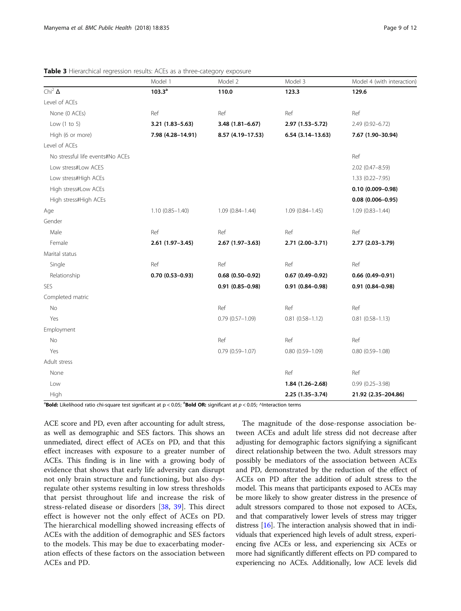|                                  | Model 1             | Model 2             | Model 3             | Model 4 (with interaction) |
|----------------------------------|---------------------|---------------------|---------------------|----------------------------|
| Chi <sup>2</sup> $\Delta$        | $103.3^a$           | 110.0               | 123.3               | 129.6                      |
| Level of ACEs                    |                     |                     |                     |                            |
| None (0 ACEs)                    | Ref                 | Ref                 | Ref                 | Ref                        |
| Low $(1 to 5)$                   | 3.21 (1.83-5.63)    | $3.48(1.81 - 6.67)$ | 2.97 (1.53-5.72)    | 2.49 (0.92-6.72)           |
| High (6 or more)                 | 7.98 (4.28-14.91)   | 8.57 (4.19-17.53)   | $6.54(3.14-13.63)$  | 7.67 (1.90-30.94)          |
| Level of ACEs                    |                     |                     |                     |                            |
| No stressful life events#No ACEs |                     |                     |                     | Ref                        |
| Low stress#Low ACES              |                     |                     |                     | 2.02 (0.47-8.59)           |
| Low stress#High ACEs             |                     |                     |                     | $1.33(0.22 - 7.95)$        |
| High stress#Low ACEs             |                     |                     |                     | $0.10(0.009 - 0.98)$       |
| High stress#High ACEs            |                     |                     |                     | $0.08(0.006 - 0.95)$       |
| Age                              | $1.10(0.85 - 1.40)$ | $1.09(0.84 - 1.44)$ | $1.09(0.84 - 1.45)$ | $1.09(0.83 - 1.44)$        |
| Gender                           |                     |                     |                     |                            |
| Male                             | Ref                 | Ref                 | Ref                 | Ref                        |
| Female                           | $2.61(1.97 - 3.45)$ | $2.67(1.97 - 3.63)$ | 2.71 (2.00-3.71)    | 2.77 (2.03-3.79)           |
| Marital status                   |                     |                     |                     |                            |
| Single                           | Ref                 | Ref                 | Ref                 | Ref                        |
| Relationship                     | $0.70(0.53 - 0.93)$ | $0.68(0.50 - 0.92)$ | $0.67(0.49 - 0.92)$ | $0.66(0.49 - 0.91)$        |
| SES                              |                     | $0.91(0.85 - 0.98)$ | $0.91(0.84 - 0.98)$ | $0.91(0.84 - 0.98)$        |
| Completed matric                 |                     |                     |                     |                            |
| No                               |                     | Ref                 | Ref                 | Ref                        |
| Yes                              |                     | $0.79(0.57 - 1.09)$ | $0.81(0.58 - 1.12)$ | $0.81(0.58 - 1.13)$        |
| Employment                       |                     |                     |                     |                            |
| No                               |                     | Ref                 | Ref                 | Ref                        |
| Yes                              |                     | $0.79(0.59 - 1.07)$ | $0.80(0.59 - 1.09)$ | $0.80(0.59 - 1.08)$        |
| Adult stress                     |                     |                     |                     |                            |
| None                             |                     |                     | Ref                 | Ref                        |
| Low                              |                     |                     | $1.84(1.26 - 2.68)$ | $0.99(0.25 - 3.98)$        |
| High                             |                     |                     | 2.25 (1.35-3.74)    | 21.92 (2.35-204.86)        |

<span id="page-8-0"></span>Table 3 Hierarchical regression results: ACEs as a three-category exposure

 $^{\rm a}$ Bold: Likelihood ratio chi-square test significant at p < 0.05;  $^{\rm a}$ Bold OR: significant at  $p$  < 0.05; ^Interaction terms

ACE score and PD, even after accounting for adult stress, as well as demographic and SES factors. This shows an unmediated, direct effect of ACEs on PD, and that this effect increases with exposure to a greater number of ACEs. This finding is in line with a growing body of evidence that shows that early life adversity can disrupt not only brain structure and functioning, but also dysregulate other systems resulting in low stress thresholds that persist throughout life and increase the risk of stress-related disease or disorders [[38](#page-11-0), [39](#page-11-0)]. This direct effect is however not the only effect of ACEs on PD. The hierarchical modelling showed increasing effects of ACEs with the addition of demographic and SES factors to the models. This may be due to exacerbating moderation effects of these factors on the association between ACEs and PD.

The magnitude of the dose-response association between ACEs and adult life stress did not decrease after adjusting for demographic factors signifying a significant direct relationship between the two. Adult stressors may possibly be mediators of the association between ACEs and PD, demonstrated by the reduction of the effect of ACEs on PD after the addition of adult stress to the model. This means that participants exposed to ACEs may be more likely to show greater distress in the presence of adult stressors compared to those not exposed to ACEs, and that comparatively lower levels of stress may trigger distress [\[16\]](#page-11-0). The interaction analysis showed that in individuals that experienced high levels of adult stress, experiencing five ACEs or less, and experiencing six ACEs or more had significantly different effects on PD compared to experiencing no ACEs. Additionally, low ACE levels did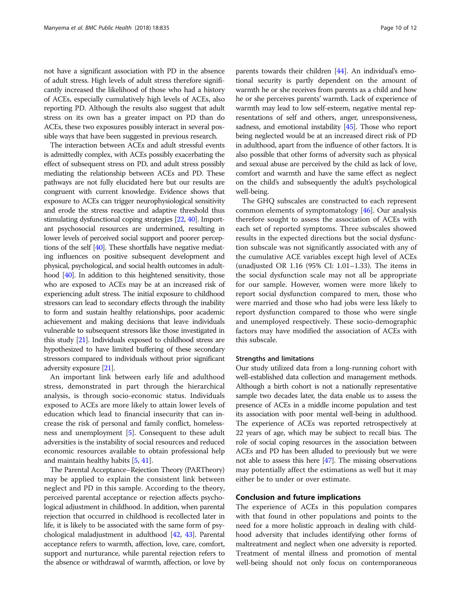not have a significant association with PD in the absence of adult stress. High levels of adult stress therefore significantly increased the likelihood of those who had a history of ACEs, especially cumulatively high levels of ACEs, also reporting PD. Although the results also suggest that adult stress on its own has a greater impact on PD than do ACEs, these two exposures possibly interact in several possible ways that have been suggested in previous research.

The interaction between ACEs and adult stressful events is admittedly complex, with ACEs possibly exacerbating the effect of subsequent stress on PD, and adult stress possibly mediating the relationship between ACEs and PD. These pathways are not fully elucidated here but our results are congruent with current knowledge. Evidence shows that exposure to ACEs can trigger neurophysiological sensitivity and erode the stress reactive and adaptive threshold thus stimulating dysfunctional coping strategies [[22,](#page-11-0) [40](#page-11-0)]. Important psychosocial resources are undermined, resulting in lower levels of perceived social support and poorer perceptions of the self [\[40\]](#page-11-0). These shortfalls have negative mediating influences on positive subsequent development and physical, psychological, and social health outcomes in adulthood [\[40\]](#page-11-0). In addition to this heightened sensitivity, those who are exposed to ACEs may be at an increased risk of experiencing adult stress. The initial exposure to childhood stressors can lead to secondary effects through the inability to form and sustain healthy relationships, poor academic achievement and making decisions that leave individuals vulnerable to subsequent stressors like those investigated in this study [\[21\]](#page-11-0). Individuals exposed to childhood stress are hypothesized to have limited buffering of these secondary stressors compared to individuals without prior significant adversity exposure [\[21\]](#page-11-0).

An important link between early life and adulthood stress, demonstrated in part through the hierarchical analysis, is through socio-economic status. Individuals exposed to ACEs are more likely to attain lower levels of education which lead to financial insecurity that can increase the risk of personal and family conflict, homelessness and unemployment [[5](#page-11-0)]. Consequent to these adult adversities is the instability of social resources and reduced economic resources available to obtain professional help and maintain healthy habits [\[5](#page-11-0), [41](#page-11-0)].

The Parental Acceptance–Rejection Theory (PARTheory) may be applied to explain the consistent link between neglect and PD in this sample. According to the theory, perceived parental acceptance or rejection affects psychological adjustment in childhood. In addition, when parental rejection that occurred in childhood is recollected later in life, it is likely to be associated with the same form of psychological maladjustment in adulthood [\[42,](#page-11-0) [43\]](#page-11-0). Parental acceptance refers to warmth, affection, love, care, comfort, support and nurturance, while parental rejection refers to the absence or withdrawal of warmth, affection, or love by parents towards their children [\[44\]](#page-11-0). An individual's emotional security is partly dependent on the amount of warmth he or she receives from parents as a child and how he or she perceives parents' warmth. Lack of experience of warmth may lead to low self-esteem, negative mental representations of self and others, anger, unresponsiveness, sadness, and emotional instability [\[45\]](#page-11-0). Those who report being neglected would be at an increased direct risk of PD in adulthood, apart from the influence of other factors. It is also possible that other forms of adversity such as physical and sexual abuse are perceived by the child as lack of love, comfort and warmth and have the same effect as neglect on the child's and subsequently the adult's psychological well-being.

The GHQ subscales are constructed to each represent common elements of symptomatology [\[46\]](#page-11-0). Our analysis therefore sought to assess the association of ACEs with each set of reported symptoms. Three subscales showed results in the expected directions but the social dysfunction subscale was not significantly associated with any of the cumulative ACE variables except high level of ACEs (unadjusted OR 1.16 (95% CI: 1.01–1.33). The items in the social dysfunction scale may not all be appropriate for our sample. However, women were more likely to report social dysfunction compared to men, those who were married and those who had jobs were less likely to report dysfunction compared to those who were single and unemployed respectively. These socio-demographic factors may have modified the association of ACEs with this subscale.

#### Strengths and limitations

Our study utilized data from a long-running cohort with well-established data collection and management methods. Although a birth cohort is not a nationally representative sample two decades later, the data enable us to assess the presence of ACEs in a middle income population and test its association with poor mental well-being in adulthood. The experience of ACEs was reported retrospectively at 22 years of age, which may be subject to recall bias. The role of social coping resources in the association between ACEs and PD has been alluded to previously but we were not able to assess this here [\[47\]](#page-11-0). The missing observations may potentially affect the estimations as well but it may either be to under or over estimate.

## Conclusion and future implications

The experience of ACEs in this population compares with that found in other populations and points to the need for a more holistic approach in dealing with childhood adversity that includes identifying other forms of maltreatment and neglect when one adversity is reported. Treatment of mental illness and promotion of mental well-being should not only focus on contemporaneous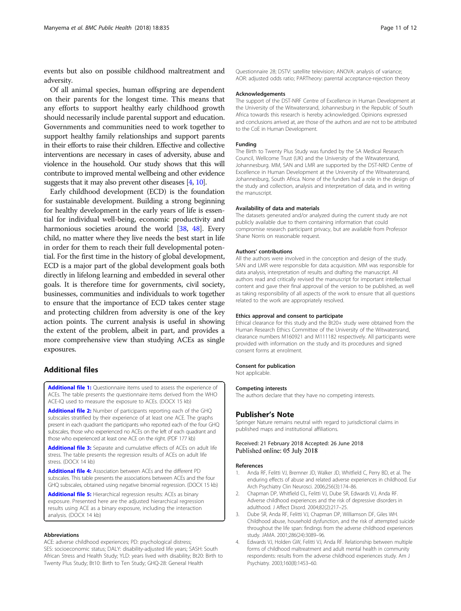<span id="page-10-0"></span>events but also on possible childhood maltreatment and adversity.

Of all animal species, human offspring are dependent on their parents for the longest time. This means that any efforts to support healthy early childhood growth should necessarily include parental support and education. Governments and communities need to work together to support healthy family relationships and support parents in their efforts to raise their children. Effective and collective interventions are necessary in cases of adversity, abuse and violence in the household. Our study shows that this will contribute to improved mental wellbeing and other evidence suggests that it may also prevent other diseases [4, [10](#page-11-0)].

Early childhood development (ECD) is the foundation for sustainable development. Building a strong beginning for healthy development in the early years of life is essential for individual well-being, economic productivity and harmonious societies around the world [[38](#page-11-0), [48](#page-11-0)]. Every child, no matter where they live needs the best start in life in order for them to reach their full developmental potential. For the first time in the history of global development, ECD is a major part of the global development goals both directly in lifelong learning and embedded in several other goals. It is therefore time for governments, civil society, businesses, communities and individuals to work together to ensure that the importance of ECD takes center stage and protecting children from adversity is one of the key action points. The current analysis is useful in showing the extent of the problem, albeit in part, and provides a more comprehensive view than studying ACEs as single exposures.

# Additional files

[Additional file 1:](https://doi.org/10.1186/s12889-018-5767-0) Questionnaire items used to assess the experience of ACEs. The table presents the questionnaire items derived from the WHO ACE-IQ used to measure the exposure to ACEs. (DOCX 15 kb)

[Additional file 2:](https://doi.org/10.1186/s12889-018-5767-0) Number of participants reporting each of the GHQ subscales stratified by their experience of at least one ACE. The graphs present in each quadrant the participants who reported each of the four GHQ subscales, those who experienced no ACEs on the left of each quadrant and those who experienced at least one ACE on the right. (PDF 177 kb)

[Additional file 3:](https://doi.org/10.1186/s12889-018-5767-0) Separate and cumulative effects of ACEs on adult life stress. The table presents the regression results of ACEs on adult life stress. (DOCX 14 kb)

[Additional file 4:](https://doi.org/10.1186/s12889-018-5767-0) Association between ACEs and the different PD subscales. This table presents the associations between ACEs and the four GHQ subscales, obtained using negative binomial regression. (DOCX 15 kb)

[Additional file 5:](https://doi.org/10.1186/s12889-018-5767-0) Hierarchical regression results: ACEs as binary exposure. Presented here are the adjusted hierarchical regression results using ACE as a binary exposure, including the interaction analysis. (DOCX 14 kb)

#### Abbreviations

ACE: adverse childhood experiences; PD: psychological distress; SES: socioeconomic status; DALY: disability-adjusted life years; SASH: South African Stress and Health Study; YLD: years lived with disability; Bt20: Birth to Twenty Plus Study; Bt10: Birth to Ten Study; GHQ-28: General Health

Questionnaire 28; DSTV: satellite television; ANOVA: analysis of variance; AOR: adjusted odds ratio; PARTheory: parental acceptance-rejection theory

#### Acknowledgements

The support of the DST-NRF Centre of Excellence in Human Development at the University of the Witwatersrand, Johannesburg in the Republic of South Africa towards this research is hereby acknowledged. Opinions expressed and conclusions arrived at, are those of the authors and are not to be attributed to the CoE in Human Development.

#### Funding

The Birth to Twenty Plus Study was funded by the SA Medical Research Council, Wellcome Trust (UK) and the University of the Witwatersrand, Johannesburg. MM, SAN and LMR are supported by the DST-NRD Centre of Excellence in Human Development at the University of the Witwatersrand, Johannesburg, South Africa. None of the funders had a role in the design of the study and collection, analysis and interpretation of data, and in writing the manuscript.

#### Availability of data and materials

The datasets generated and/or analyzed during the current study are not publicly available due to them containing information that could compromise research participant privacy, but are available from Professor Shane Norris on reasonable request.

#### Authors' contributions

All the authors were involved in the conception and design of the study. SAN and LMR were responsible for data acquisition. MM was responsible for data analysis, interpretation of results and drafting the manuscript. All authors read and critically revised the manuscript for important intellectual content and gave their final approval of the version to be published, as well as taking responsibility of all aspects of the work to ensure that all questions related to the work are appropriately resolved.

#### Ethics approval and consent to participate

Ethical clearance for this study and the Bt20+ study were obtained from the Human Research Ethics Committee of the University of the Witwatersrand, clearance numbers M160921 and M111182 respectively. All participants were provided with information on the study and its procedures and signed consent forms at enrolment.

#### Consent for publication

Not applicable.

#### Competing interests

The authors declare that they have no competing interests.

#### Publisher's Note

Springer Nature remains neutral with regard to jurisdictional claims in published maps and institutional affiliations.

#### Received: 21 February 2018 Accepted: 26 June 2018 Published online: 05 July 2018

#### References

- 1. Anda RF, Felitti VJ, Bremner JD, Walker JD, Whitfield C, Perry BD, et al. The enduring effects of abuse and related adverse experiences in childhood. Eur Arch Psychiatry Clin Neurosci. 2006;256(3):174–86.
- 2. Chapman DP, Whitfield CL, Felitti VJ, Dube SR, Edwards VJ, Anda RF. Adverse childhood experiences and the risk of depressive disorders in adulthood. J Affect Disord. 2004;82(2):217–25.
- 3. Dube SR, Anda RF, Felitti VJ, Chapman DP, Williamson DF, Giles WH. Childhood abuse, household dysfunction, and the risk of attempted suicide throughout the life span: findings from the adverse childhood experiences study. JAMA. 2001;286(24):3089–96.
- 4. Edwards VJ, Holden GW, Felitti VJ, Anda RF. Relationship between multiple forms of childhood maltreatment and adult mental health in community respondents: results from the adverse childhood experiences study. Am J Psychiatry. 2003;160(8):1453–60.